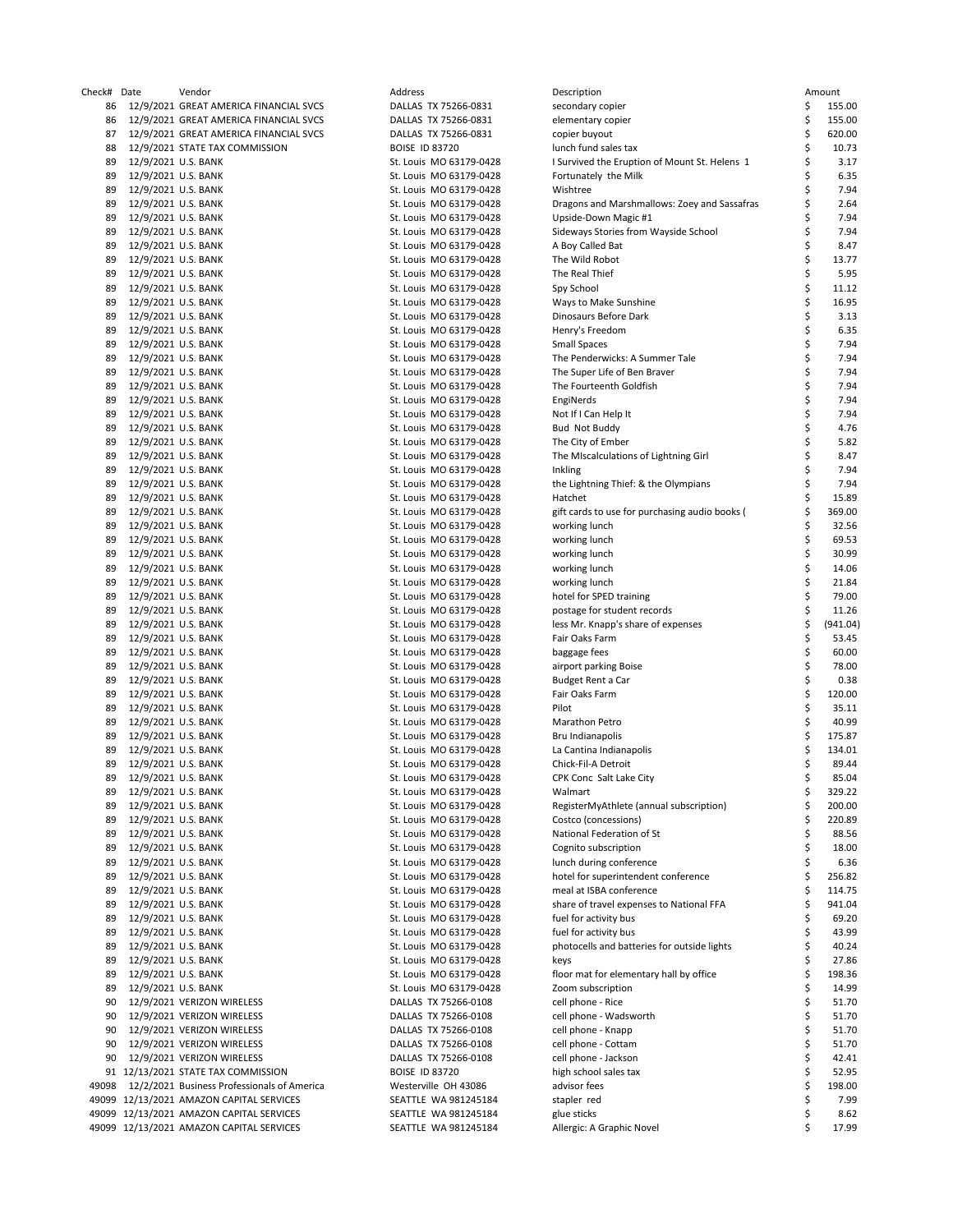| heck#    | Date                                       | Vendor                                                   |
|----------|--------------------------------------------|----------------------------------------------------------|
| 86       |                                            | 12/9/2021 GREAT AMERICA FINANCIAL SVCS                   |
| 86       |                                            | 12/9/2021 GREAT AMERICA FINANCIAL SVCS                   |
| 87       |                                            | 12/9/2021 GREAT AMERICA FINANCIAL SVCS                   |
| 88<br>89 | 12/9/2021 U.S. BANK                        | 12/9/2021 STATE TAX COMMISSION                           |
| 89       | 12/9/2021 U.S. BANK                        |                                                          |
| 89       | 12/9/2021 U.S. BANK                        |                                                          |
| 89       | 12/9/2021 U.S. BANK                        |                                                          |
| 89       | 12/9/2021 U.S. BANK                        |                                                          |
| 89       | 12/9/2021 U.S. BANK                        |                                                          |
| 89       | 12/9/2021 U.S. BANK                        |                                                          |
| 89       | 12/9/2021 U.S. BANK                        |                                                          |
| 89       | 12/9/2021 U.S. BANK                        |                                                          |
| 89<br>89 | 12/9/2021 U.S. BANK<br>12/9/2021 U.S. BANK |                                                          |
| 89       | 12/9/2021 U.S. BANK                        |                                                          |
| 89       | 12/9/2021 U.S. BANK                        |                                                          |
| 89       | 12/9/2021 U.S. BANK                        |                                                          |
| 89       | 12/9/2021 U.S. BANK                        |                                                          |
| 89       | 12/9/2021 U.S. BANK                        |                                                          |
| 89       | 12/9/2021 U.S. BANK                        |                                                          |
| 89       | 12/9/2021 U.S. BANK                        |                                                          |
| 89<br>89 | 12/9/2021 U.S. BANK<br>12/9/2021 U.S. BANK |                                                          |
| 89       | 12/9/2021 U.S. BANK                        |                                                          |
| 89       | 12/9/2021 U.S. BANK                        |                                                          |
| 89       | 12/9/2021 U.S. BANK                        |                                                          |
| 89       | 12/9/2021 U.S. BANK                        |                                                          |
| 89       | 12/9/2021 U.S. BANK                        |                                                          |
| 89       | 12/9/2021 U.S. BANK                        |                                                          |
| 89       | 12/9/2021 U.S. BANK                        |                                                          |
| 89<br>89 | 12/9/2021 U.S. BANK<br>12/9/2021 U.S. BANK |                                                          |
| 89       | 12/9/2021 U.S. BANK                        |                                                          |
| 89       | 12/9/2021 U.S. BANK                        |                                                          |
| 89       | 12/9/2021 U.S. BANK                        |                                                          |
| 89       | 12/9/2021 U.S. BANK                        |                                                          |
| 89       | 12/9/2021 U.S. BANK                        |                                                          |
| 89       | 12/9/2021 U.S. BANK                        |                                                          |
| 89       | 12/9/2021 U.S. BANK                        |                                                          |
| 89<br>89 | 12/9/2021 U.S. BANK<br>12/9/2021 U.S. BANK |                                                          |
| 89       | 12/9/2021 U.S. BANK                        |                                                          |
| 89       | 12/9/2021 U.S. BANK                        |                                                          |
| 89       | 12/9/2021 U.S. BANK                        |                                                          |
| 89       | 12/9/2021 U.S. BANK                        |                                                          |
| 89       | 12/9/2021 U.S. BANK                        |                                                          |
| 89       | 12/9/2021 U.S. BANK                        |                                                          |
| 89<br>89 | 12/9/2021 U.S. BANK<br>12/9/2021 U.S. BANK |                                                          |
| 89       | 12/9/2021 U.S. BANK                        |                                                          |
| 89       | 12/9/2021 U.S. BANK                        |                                                          |
| 89       | 12/9/2021 U.S. BANK                        |                                                          |
| 89       | 12/9/2021 U.S. BANK                        |                                                          |
| 89       | 12/9/2021 U.S. BANK                        |                                                          |
| 89       | 12/9/2021 U.S. BANK                        |                                                          |
| 89<br>89 | 12/9/2021 U.S. BANK                        |                                                          |
| 89       | 12/9/2021 U.S. BANK<br>12/9/2021 U.S. BANK |                                                          |
| 89       | 12/9/2021 U.S. BANK                        |                                                          |
| 89       | 12/9/2021 U.S. BANK                        |                                                          |
| 89       | 12/9/2021 U.S. BANK                        |                                                          |
| 89       | 12/9/2021 U.S. BANK                        |                                                          |
| 89       | 12/9/2021 U.S. BANK                        |                                                          |
| 90       |                                            | 12/9/2021 VERIZON WIRELESS                               |
| 90<br>90 |                                            | 12/9/2021 VERIZON WIRELESS<br>12/9/2021 VERIZON WIRELESS |
| 90       |                                            | 12/9/2021 VERIZON WIRELESS                               |
| 90       |                                            | 12/9/2021 VERIZON WIRELESS                               |
| 91       |                                            | 12/13/2021 STATE TAX COMMISSION                          |
| 49098    |                                            | 12/2/2021 Business Professionals of America              |
| 49099    |                                            | 12/13/2021 AMAZON CAPITAL SERVICES                       |
| 49099    |                                            | 12/13/2021 AMAZON CAPITAL SERVICES                       |
| 49099    |                                            | 12/13/2021 AMAZON CAPITAL SERVICES                       |

| Address                        |
|--------------------------------|
| TX 75266-0831<br>DALLAS        |
| TX 75266-0831<br>DALLAS        |
| <b>DALLAS</b><br>TX 75266-0831 |
| <b>BOISE ID 83720</b>          |
| MO 63179-0428<br>St. Louis     |
| MO 63179-0428<br>St. Louis     |
| MO 63179-0428                  |
| St. Louis                      |
| MO 63179-0428<br>St. Louis     |
| MO 63179-0428<br>St. Louis     |
| MO 63179-0428<br>St. Louis     |
| MO 63179-0428<br>St. Louis     |
| MO 63179-0428<br>St. Louis     |
| MO 63179-0428<br>St. Louis     |
| MO 63179-0428<br>St. Louis     |
|                                |
| MO 63179-0428<br>St. Louis     |
| MO 63179-0428<br>St. Louis     |
| MO 63179-0428<br>St. Louis     |
| MO 63179-0428<br>St. Louis     |
| MO 63179-0428<br>St. Louis     |
| MO 63179-0428<br>St. Louis     |
| MO 63179-0428<br>St. Louis     |
| MO 63179-0428                  |
| St. Louis                      |
| MO 63179-0428<br>St. Louis     |
| MO 63179-0428<br>St. Louis     |
| MO 63179-0428<br>St. Louis     |
| MO 63179-0428<br>St. Louis     |
| MO 63179-0428<br>St. Louis     |
| MO 63179-0428<br>St. Louis     |
|                                |
| MO 63179-0428<br>St. Louis     |
| MO 63179-0428<br>St. Louis     |
| MO 63179-0428<br>St. Louis     |
| MO 63179-0428<br>St. Louis     |
| MO 63179-0428<br>St. Louis     |
| MO 63179-0428<br>St. Louis     |
| MO 63179-0428<br>St. Louis     |
|                                |
| MO 63179-0428<br>St. Louis     |
| MO 63179-0428<br>St. Louis     |
| MO 63179-0428<br>St. Louis     |
| MO 63179-0428<br>St. Louis     |
| MO 63179-0428<br>St. Louis     |
| MO 63179-0428<br>St. Louis     |
| MO 63179-0428<br>St. Louis     |
|                                |
| MO 63179-0428<br>St. Louis     |
| MO 63179-0428<br>St. Louis     |
| MO 63179-0428<br>St. Louis     |
| MO 63179-0428<br>St. Louis     |
| MO 63179-0428<br>St. Louis     |
| MO 63179-0428<br>St. Louis     |
| MO 63179-0428<br>St. Louis     |
| St. Louis<br>MO 63179-0428     |
|                                |
| MO 63179-0428<br>St. Louis     |
| MO 63179-0428<br>St. Louis     |
| MO 63179-0428<br>St. Louis     |
| MO 63179-0428<br>St. Louis     |
| MO 63179-0428<br>St. Louis     |
| MO 63179-0428<br>St. Louis     |
| MO 63179-0428<br>St. Louis     |
| MO 63179-0428<br>St. Louis     |
|                                |
| MO 63179-0428<br>St. Louis     |
| St. Louis MO 63179-0428        |
| St. Louis MO 63179-0428        |
| St. Louis MO 63179-0428        |
| MO 63179-0428<br>St. Louis     |
| St. Louis MO 63179-0428        |
|                                |
| DALLAS TX 75266-0108           |
| DALLAS TX 75266-0108           |
| <b>DALLAS</b><br>TX 75266-0108 |
| DALLAS TX 75266-0108           |
| DALLAS TX 75266-0108           |
| <b>BOISE ID 83720</b>          |
|                                |
| Westerville OH 43086           |
| SEATTLE WA 981245184           |
| SEATTLE WA 981245184           |
| SEATTLE WA 981245184           |
|                                |

| Check# Date |                                            | Vendor                                      | Address                                            | Description                                              |          | Amount          |
|-------------|--------------------------------------------|---------------------------------------------|----------------------------------------------------|----------------------------------------------------------|----------|-----------------|
| 86          |                                            | 12/9/2021 GREAT AMERICA FINANCIAL SVCS      | DALLAS TX 75266-0831                               | secondary copier                                         | \$       | 155.00          |
| 86          |                                            | 12/9/2021 GREAT AMERICA FINANCIAL SVCS      | DALLAS TX 75266-0831                               | elementary copier                                        | \$       | 155.00          |
| 87          |                                            | 12/9/2021 GREAT AMERICA FINANCIAL SVCS      | DALLAS TX 75266-0831                               | copier buyout                                            | \$       | 620.00          |
| 88          |                                            | 12/9/2021 STATE TAX COMMISSION              | <b>BOISE ID 83720</b>                              | lunch fund sales tax                                     | \$       | 10.73           |
| 89          | 12/9/2021 U.S. BANK                        |                                             | St. Louis MO 63179-0428                            | I Survived the Eruption of Mount St. Helens 1            | \$       | 3.17            |
| 89          | 12/9/2021 U.S. BANK                        |                                             | St. Louis MO 63179-0428                            | Fortunately the Milk                                     | \$       | 6.35            |
| 89          | 12/9/2021 U.S. BANK                        |                                             | St. Louis MO 63179-0428                            | Wishtree                                                 | \$       | 7.94            |
| 89          | 12/9/2021 U.S. BANK                        |                                             | St. Louis MO 63179-0428                            | Dragons and Marshmallows: Zoey and Sassafras             | \$       | 2.64<br>7.94    |
| 89<br>89    | 12/9/2021 U.S. BANK<br>12/9/2021 U.S. BANK |                                             | St. Louis MO 63179-0428                            | Upside-Down Magic #1                                     | \$<br>\$ | 7.94            |
| 89          | 12/9/2021 U.S. BANK                        |                                             | St. Louis MO 63179-0428<br>St. Louis MO 63179-0428 | Sideways Stories from Wayside School<br>A Boy Called Bat | \$       | 8.47            |
| 89          | 12/9/2021 U.S. BANK                        |                                             | St. Louis MO 63179-0428                            | The Wild Robot                                           | \$       | 13.77           |
| 89          | 12/9/2021 U.S. BANK                        |                                             | St. Louis MO 63179-0428                            | The Real Thief                                           | \$       | 5.95            |
| 89          | 12/9/2021 U.S. BANK                        |                                             | St. Louis MO 63179-0428                            | Spy School                                               | \$       | 11.12           |
| 89          | 12/9/2021 U.S. BANK                        |                                             | St. Louis MO 63179-0428                            | Ways to Make Sunshine                                    | \$       | 16.95           |
| 89          | 12/9/2021 U.S. BANK                        |                                             | St. Louis MO 63179-0428                            | Dinosaurs Before Dark                                    | \$       | 3.13            |
| 89          | 12/9/2021 U.S. BANK                        |                                             | St. Louis MO 63179-0428                            | Henry's Freedom                                          | \$       | 6.35            |
| 89          | 12/9/2021 U.S. BANK                        |                                             | St. Louis MO 63179-0428                            | Small Spaces                                             | \$       | 7.94            |
| 89          | 12/9/2021 U.S. BANK                        |                                             | St. Louis MO 63179-0428                            | The Penderwicks: A Summer Tale                           | \$       | 7.94            |
| 89          | 12/9/2021 U.S. BANK                        |                                             | St. Louis MO 63179-0428                            | The Super Life of Ben Braver                             | \$       | 7.94            |
| 89          | 12/9/2021 U.S. BANK                        |                                             | St. Louis MO 63179-0428                            | The Fourteenth Goldfish                                  | \$       | 7.94            |
| 89          | 12/9/2021 U.S. BANK                        |                                             | St. Louis MO 63179-0428                            | EngiNerds                                                | \$       | 7.94            |
| 89          | 12/9/2021 U.S. BANK                        |                                             | St. Louis MO 63179-0428                            | Not If I Can Help It                                     | \$       | 7.94            |
| 89          | 12/9/2021 U.S. BANK                        |                                             | St. Louis MO 63179-0428                            | <b>Bud Not Buddy</b>                                     | \$       | 4.76            |
| 89          | 12/9/2021 U.S. BANK                        |                                             | St. Louis MO 63179-0428                            | The City of Ember                                        | \$       | 5.82            |
| 89          | 12/9/2021 U.S. BANK                        |                                             | St. Louis MO 63179-0428                            | The MIscalculations of Lightning Girl                    | \$       | 8.47            |
| 89          | 12/9/2021 U.S. BANK<br>12/9/2021 U.S. BANK |                                             | St. Louis MO 63179-0428<br>St. Louis MO 63179-0428 | Inkling                                                  | \$       | 7.94<br>7.94    |
| 89<br>89    | 12/9/2021 U.S. BANK                        |                                             | St. Louis MO 63179-0428                            | the Lightning Thief: & the Olympians<br>Hatchet          |          | 15.89           |
| 89          | 12/9/2021 U.S. BANK                        |                                             | St. Louis MO 63179-0428                            | gift cards to use for purchasing audio books (           | \$       | 369.00          |
| 89          | 12/9/2021 U.S. BANK                        |                                             | St. Louis MO 63179-0428                            | working lunch                                            |          | 32.56           |
| 89          | 12/9/2021 U.S. BANK                        |                                             | St. Louis MO 63179-0428                            | working lunch                                            | \$       | 69.53           |
| 89          | 12/9/2021 U.S. BANK                        |                                             | St. Louis MO 63179-0428                            | working lunch                                            | \$       | 30.99           |
| 89          | 12/9/2021 U.S. BANK                        |                                             | St. Louis MO 63179-0428                            | working lunch                                            | \$       | 14.06           |
| 89          | 12/9/2021 U.S. BANK                        |                                             | St. Louis MO 63179-0428                            | working lunch                                            | \$       | 21.84           |
| 89          | 12/9/2021 U.S. BANK                        |                                             | St. Louis MO 63179-0428                            | hotel for SPED training                                  | \$       | 79.00           |
| 89          | 12/9/2021 U.S. BANK                        |                                             | St. Louis MO 63179-0428                            | postage for student records                              | \$       | 11.26           |
| 89          | 12/9/2021 U.S. BANK                        |                                             | St. Louis MO 63179-0428                            | less Mr. Knapp's share of expenses                       | \$       | (941.04)        |
| 89          | 12/9/2021 U.S. BANK                        |                                             | St. Louis MO 63179-0428                            | Fair Oaks Farm                                           |          | 53.45           |
| 89          | 12/9/2021 U.S. BANK                        |                                             | St. Louis MO 63179-0428                            | baggage fees                                             | \$       | 60.00           |
| 89          | 12/9/2021 U.S. BANK                        |                                             | St. Louis MO 63179-0428                            | airport parking Boise                                    | \$       | 78.00           |
| 89          | 12/9/2021 U.S. BANK                        |                                             | St. Louis MO 63179-0428                            | Budget Rent a Car                                        | \$       | 0.38            |
| 89          | 12/9/2021 U.S. BANK                        |                                             | St. Louis MO 63179-0428                            | Fair Oaks Farm                                           |          | 120.00          |
| 89          | 12/9/2021 U.S. BANK                        |                                             | St. Louis MO 63179-0428                            | Pilot                                                    | \$       | 35.11           |
| 89<br>89    | 12/9/2021 U.S. BANK<br>12/9/2021 U.S. BANK |                                             | St. Louis MO 63179-0428<br>St. Louis MO 63179-0428 | Marathon Petro<br>Bru Indianapolis                       | \$<br>\$ | 40.99<br>175.87 |
| 89          | 12/9/2021 U.S. BANK                        |                                             | St. Louis MO 63179-0428                            | La Cantina Indianapolis                                  |          | 134.01          |
| 89          | 12/9/2021 U.S. BANK                        |                                             | St. Louis MO 63179-0428                            | Chick-Fil-A Detroit                                      | \$       | 89.44           |
| 89          | 12/9/2021 U.S. BANK                        |                                             | St. Louis MO 63179-0428                            | CPK Conc Salt Lake City                                  | Ś        | 85.04           |
| 89          | 12/9/2021 U.S. BANK                        |                                             | St. Louis MO 63179-0428                            | Walmart                                                  | \$       | 329.22          |
| 89          | 12/9/2021 U.S. BANK                        |                                             | St. Louis MO 63179-0428                            | RegisterMyAthlete (annual subscription)                  | \$       | 200.00          |
| 89          | 12/9/2021 U.S. BANK                        |                                             | St. Louis MO 63179-0428                            | Costco (concessions)                                     | \$       | 220.89          |
| 89          | 12/9/2021 U.S. BANK                        |                                             | St. Louis MO 63179-0428                            | National Federation of St                                | \$       | 88.56           |
| 89          | 12/9/2021 U.S. BANK                        |                                             | St. Louis MO 63179-0428                            | Cognito subscription                                     | \$       | 18.00           |
| 89          | 12/9/2021 U.S. BANK                        |                                             | St. Louis MO 63179-0428                            | lunch during conference                                  | \$       | 6.36            |
| 89          | 12/9/2021 U.S. BANK                        |                                             | St. Louis MO 63179-0428                            | hotel for superintendent conference                      | \$       | 256.82          |
| 89          | 12/9/2021 U.S. BANK                        |                                             | St. Louis MO 63179-0428                            | meal at ISBA conference                                  | \$       | 114.75          |
| 89          | 12/9/2021 U.S. BANK                        |                                             | St. Louis MO 63179-0428                            | share of travel expenses to National FFA                 | \$       | 941.04          |
| 89          | 12/9/2021 U.S. BANK                        |                                             | St. Louis MO 63179-0428                            | fuel for activity bus                                    | \$       | 69.20           |
| 89          | 12/9/2021 U.S. BANK                        |                                             | St. Louis MO 63179-0428                            | fuel for activity bus                                    | \$       | 43.99           |
| 89<br>89    | 12/9/2021 U.S. BANK<br>12/9/2021 U.S. BANK |                                             | St. Louis MO 63179-0428<br>St. Louis MO 63179-0428 | photocells and batteries for outside lights<br>keys      | \$<br>\$ | 40.24<br>27.86  |
| 89          | 12/9/2021 U.S. BANK                        |                                             | St. Louis MO 63179-0428                            | floor mat for elementary hall by office                  | \$       | 198.36          |
| 89          | 12/9/2021 U.S. BANK                        |                                             | St. Louis MO 63179-0428                            | Zoom subscription                                        | \$       | 14.99           |
| 90          |                                            | 12/9/2021 VERIZON WIRELESS                  | DALLAS TX 75266-0108                               | cell phone - Rice                                        | \$       | 51.70           |
| 90          |                                            | 12/9/2021 VERIZON WIRELESS                  | DALLAS TX 75266-0108                               | cell phone - Wadsworth                                   | \$       | 51.70           |
| 90          |                                            | 12/9/2021 VERIZON WIRELESS                  | DALLAS TX 75266-0108                               | cell phone - Knapp                                       | \$       | 51.70           |
| 90          |                                            | 12/9/2021 VERIZON WIRELESS                  | DALLAS TX 75266-0108                               | cell phone - Cottam                                      | \$       | 51.70           |
| 90          |                                            | 12/9/2021 VERIZON WIRELESS                  | DALLAS TX 75266-0108                               | cell phone - Jackson                                     | \$       | 42.41           |
|             |                                            | 91 12/13/2021 STATE TAX COMMISSION          | <b>BOISE ID 83720</b>                              | high school sales tax                                    | \$       | 52.95           |
| 49098       |                                            | 12/2/2021 Business Professionals of America | Westerville OH 43086                               | advisor fees                                             | \$       | 198.00          |
|             |                                            | 49099 12/13/2021 AMAZON CAPITAL SERVICES    | SEATTLE WA 981245184                               | stapler red                                              | \$       | 7.99            |
|             |                                            | 49099 12/13/2021 AMAZON CAPITAL SERVICES    | SEATTLE WA 981245184                               | glue sticks                                              | \$       | 8.62            |
|             |                                            | 49099 12/13/2021 AMAZON CAPITAL SERVICES    | SEATTLE WA 981245184                               | Allergic: A Graphic Novel                                | Ś        | 17.99           |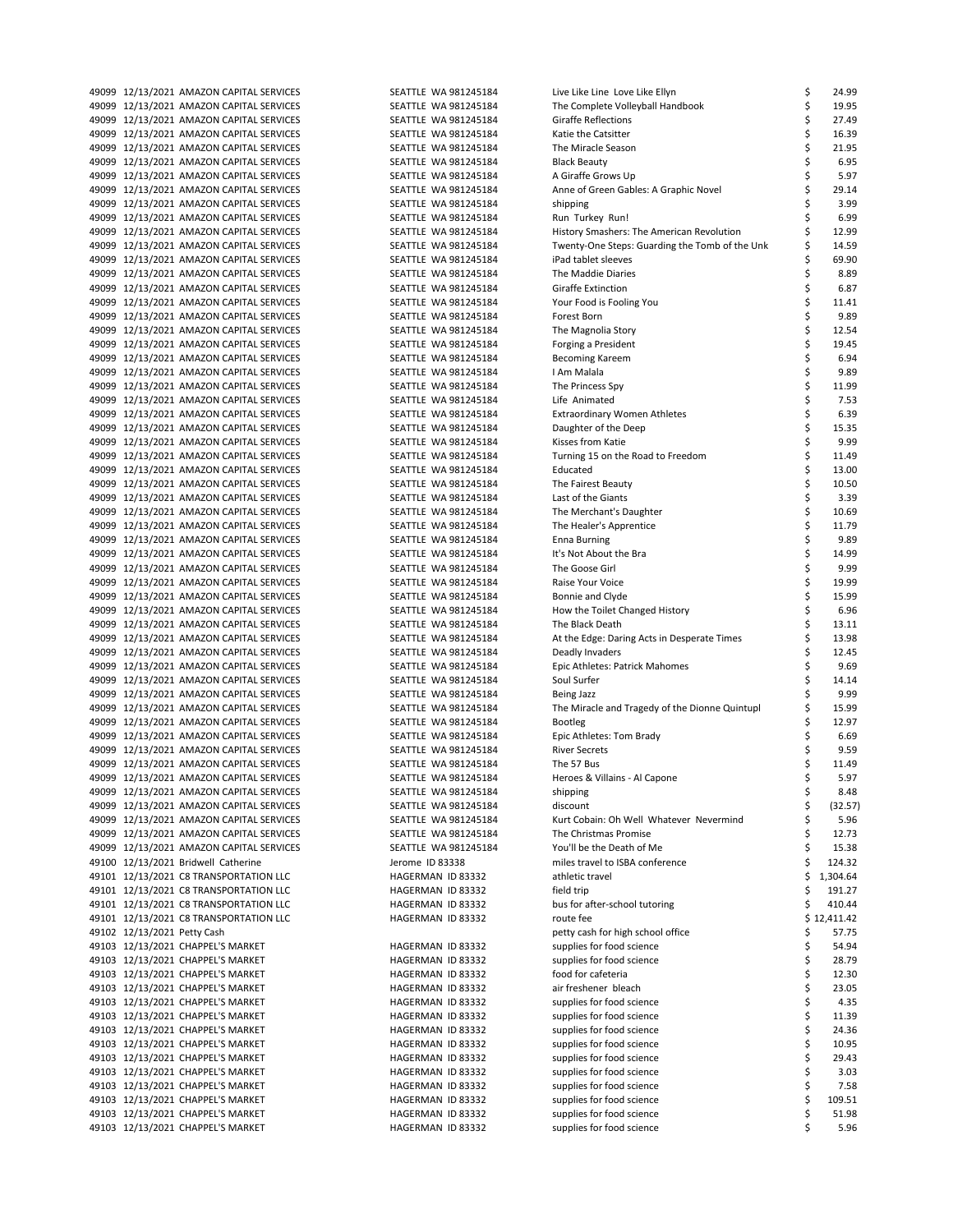| 49099          |                       | 12/13/2021 AMAZON CAPITAL SERVICES                                       |
|----------------|-----------------------|--------------------------------------------------------------------------|
| 49099          |                       | 12/13/2021 AMAZON CAPITAL SERVICES                                       |
| 49099          |                       | 12/13/2021 AMAZON CAPITAL SERVICES                                       |
| 49099          |                       | 12/13/2021 AMAZON CAPITAL SERVICES                                       |
| 49099          |                       | 12/13/2021 AMAZON CAPITAL SERVICES                                       |
| 49099          |                       | 12/13/2021 AMAZON CAPITAL SERVICES                                       |
| 49099          |                       | 12/13/2021 AMAZON CAPITAL SERVICES                                       |
| 49099          |                       | 12/13/2021 AMAZON CAPITAL SERVICES                                       |
| 49099          |                       | 12/13/2021 AMAZON CAPITAL SERVICES                                       |
| 49099          |                       | 12/13/2021 AMAZON CAPITAL SERVICES                                       |
| 49099          |                       | 12/13/2021 AMAZON CAPITAL SERVICES                                       |
| 49099          |                       | 12/13/2021 AMAZON CAPITAL SERVICES                                       |
| 49099          |                       | 12/13/2021 AMAZON CAPITAL SERVICES                                       |
| 49099          |                       | 12/13/2021 AMAZON CAPITAL SERVICES                                       |
| 49099          |                       | 12/13/2021 AMAZON CAPITAL SERVICES                                       |
| 49099          |                       | 12/13/2021 AMAZON CAPITAL SERVICES                                       |
| 49099          |                       | 12/13/2021 AMAZON CAPITAL SERVICES                                       |
| 49099          |                       | 12/13/2021 AMAZON CAPITAL SERVICES                                       |
| 49099          |                       | 12/13/2021 AMAZON CAPITAL SERVICES                                       |
| 49099          |                       | 12/13/2021 AMAZON CAPITAL SERVICES                                       |
| 49099          |                       | 12/13/2021 AMAZON CAPITAL SERVICES                                       |
| 49099          |                       | 12/13/2021 AMAZON CAPITAL SERVICES                                       |
| 49099          |                       | 12/13/2021 AMAZON CAPITAL SERVICES                                       |
| 49099          |                       | 12/13/2021 AMAZON CAPITAL SERVICES                                       |
| 49099          |                       | 12/13/2021 AMAZON CAPITAL SERVICES                                       |
| 49099          |                       | 12/13/2021 AMAZON CAPITAL SERVICES                                       |
| 49099          |                       | 12/13/2021 AMAZON CAPITAL SERVICES                                       |
| 49099          |                       | 12/13/2021 AMAZON CAPITAL SERVICES                                       |
| 49099          |                       | 12/13/2021 AMAZON CAPITAL SERVICES                                       |
| 49099          |                       | 12/13/2021 AMAZON CAPITAL SERVICES                                       |
| 49099          |                       | 12/13/2021 AMAZON CAPITAL SERVICES                                       |
| 49099          |                       | 12/13/2021 AMAZON CAPITAL SERVICES                                       |
| 49099          |                       | 12/13/2021 AMAZON CAPITAL SERVICES                                       |
| 49099          |                       | 12/13/2021 AMAZON CAPITAL SERVICES                                       |
| 49099          |                       | 12/13/2021 AMAZON CAPITAL SERVICES                                       |
| 49099          |                       | 12/13/2021 AMAZON CAPITAL SERVICES                                       |
| 49099          |                       | 12/13/2021 AMAZON CAPITAL SERVICES                                       |
| 49099          |                       | 12/13/2021 AMAZON CAPITAL SERVICES                                       |
| 49099          |                       | 12/13/2021 AMAZON CAPITAL SERVICES                                       |
| 49099          |                       | 12/13/2021 AMAZON CAPITAL SERVICES                                       |
| 49099          |                       | 12/13/2021 AMAZON CAPITAL SERVICES                                       |
| 49099          |                       | 12/13/2021 AMAZON CAPITAL SERVICES                                       |
| 49099          |                       | 12/13/2021 AMAZON CAPITAL SERVICES                                       |
| 49099          |                       | 12/13/2021 AMAZON CAPITAL SERVICES                                       |
| 49099<br>49099 |                       | 12/13/2021 AMAZON CAPITAL SERVICES                                       |
| 49099          |                       | 12/13/2021 AMAZON CAPITAL SERVICES                                       |
|                |                       | 12/13/2021 AMAZON CAPITAL SERVICES<br>12/13/2021 AMAZON CAPITAL SERVICES |
| 49099<br>49099 |                       | 12/13/2021 AMAZON CAPITAL SERVICES                                       |
| 49099          |                       | 12/13/2021 AMAZON CAPITAL SERVICES                                       |
|                |                       | 12/13/2021 AMAZON CAPITAL SERVICES                                       |
| 49099<br>49099 |                       | 12/13/2021 AMAZON CAPITAL SERVICES                                       |
| 49099          |                       | 12/13/2021 AMAZON CAPITAL SERVICES                                       |
| 49099          |                       | 12/13/2021 AMAZON CAPITAL SERVICES                                       |
| 49099          |                       | 12/13/2021 AMAZON CAPITAL SERVICES                                       |
| 49100          |                       | 12/13/2021 Bridwell Catherine                                            |
| 49101          |                       | 12/13/2021 C8 TRANSPORTATION LLC                                         |
| 49101          |                       | 12/13/2021 C8 TRANSPORTATION LLC                                         |
| 49101          |                       | 12/13/2021 C8 TRANSPORTATION LLC                                         |
| 49101          |                       | 12/13/2021 C8 TRANSPORTATION LLC                                         |
| 49102          | 12/13/2021 Petty Cash |                                                                          |
| 49103          |                       | 12/13/2021 CHAPPEL'S MARKET                                              |
| 49103          |                       | 12/13/2021 CHAPPEL'S MARKET                                              |
| 49103          |                       | 12/13/2021 CHAPPEL'S MARKET                                              |
| 49103          |                       | 12/13/2021 CHAPPEL'S MARKET                                              |
|                |                       | 12/13/2021 CHAPPEL'S MARKET                                              |
|                |                       |                                                                          |
| 49103          |                       |                                                                          |
| 49103          |                       | 12/13/2021 CHAPPEL'S MARKET                                              |
| 49103<br>49103 |                       | 12/13/2021 CHAPPEL'S MARKET                                              |
| 49103          |                       | 12/13/2021 CHAPPEL'S MARKET                                              |
| 49103          |                       | 12/13/2021 CHAPPEL'S MARKET                                              |
| 49103          |                       | 12/13/2021 CHAPPEL'S MARKET                                              |
| 49103          |                       | 12/13/2021 CHAPPEL'S MARKET<br>12/13/2021 CHAPPEL'S MARKET               |
| 49103          |                       | 12/13/2021 CHAPPEL'S MARKET                                              |

| SEATTLE<br>WA 981245184                   |  |
|-------------------------------------------|--|
| WA 981245184<br>SEATTLE                   |  |
| WA 981245184<br>SEATTLE                   |  |
| WA 981245184<br>SEATTLE                   |  |
| WA 981245184<br>SEATTLE<br>WA 981245184   |  |
| SEATTLE<br>SEATTLE<br>WA 981245184        |  |
| WA 981245184                              |  |
| SEATTLE<br>WA 981245184<br>SEATTLE        |  |
| WA 981245184<br>SEATTLE                   |  |
| SEATTLE<br>WA 981245184                   |  |
| WA 981245184<br>SEATTLE                   |  |
| WA 981245184<br>SEATTLE                   |  |
| WA 981245184<br>SEATTLE                   |  |
| SEATTLE<br>WA 981245184                   |  |
| WA 981245184<br>SEATTLE                   |  |
| WA 981245184<br>SEATTLE                   |  |
| WA 981245184<br>SEATTLE                   |  |
| SEATTLE<br>WA 981245184                   |  |
| WA 981245184<br>SEATTLE                   |  |
| WA 981245184<br>SEATTLE                   |  |
| WA 981245184<br>SEATTLE                   |  |
| SEATTLE<br>WA 981245184                   |  |
| WA 981245184<br>SEATTLE                   |  |
| WA 981245184<br>SEATTLE                   |  |
| WA 981245184<br>SEATTLE                   |  |
| SEATTLE<br>WA 981245184                   |  |
| WA 981245184<br>SEATTLE                   |  |
| WA 981245184<br>SEATTLE                   |  |
| WA 981245184<br>SEATTLE                   |  |
| SEATTLE<br>WA 981245184                   |  |
| WA 981245184<br>SEATTLE                   |  |
| WA 981245184<br>SEATTLE                   |  |
| WA 981245184<br>SEATTLE                   |  |
| SEATTLE<br>WA 981245184                   |  |
| WA 981245184<br>SEATTLE                   |  |
| WA 981245184<br>SEATTLE                   |  |
| WA 981245184<br>SEATTLE                   |  |
| SEATTLE<br>WA 981245184                   |  |
|                                           |  |
| WA 981245184                              |  |
| SEATTLE                                   |  |
| WA 981245184<br>SEATTLE<br>WA 981245184   |  |
| SEATTLE<br>SEATTLE<br>WA 981245184        |  |
| WA 981245184<br>SEATTLE                   |  |
| WA 981245184<br>SEATTLE                   |  |
| WA 981245184<br>SEATTLE                   |  |
| WA 981245184<br>SEATTLE                   |  |
| WA 981245184<br>SEATTLE                   |  |
| SEATTLE<br>WA 981245184                   |  |
| WA 981245184<br>SEATTLE                   |  |
| SEATTLE WA 981245184                      |  |
| SEATTLE WA 981245184                      |  |
| SEATTLE WA 981245184                      |  |
| SEATTLE WA 981245184                      |  |
| SEATTLE WA 981245184                      |  |
| Jerome ID 83338                           |  |
| HAGERMAN ID 83332                         |  |
| HAGERMAN<br>ID 83332                      |  |
| HAGERMAN ID 83332                         |  |
| HAGERMAN ID 83332                         |  |
|                                           |  |
| HAGERMAN<br>ID 83332                      |  |
| HAGERMAN ID 83332                         |  |
| HAGERMAN<br>ID 83332                      |  |
| HAGERMAN ID 83332                         |  |
| HAGERMAN<br>ID 83332                      |  |
| HAGERMAN ID 83332                         |  |
| ID 83332<br>HAGERMAN                      |  |
| HAGERMAN ID 83332                         |  |
| HAGERMAN<br>ID 83332                      |  |
| HAGERMAN ID 83332                         |  |
| HAGERMAN<br>ID 83332                      |  |
| HAGERMAN ID 83332                         |  |
| HAGERMAN<br>ID 83332<br>HAGERMAN ID 83332 |  |

| 49099 12/13/2021 AMAZON CAPITAL SERVICES | SEATTLE WA 981245184 | Live Like Line Love Like Ellyn                 | \$ | 24.99       |
|------------------------------------------|----------------------|------------------------------------------------|----|-------------|
| 49099 12/13/2021 AMAZON CAPITAL SERVICES | SEATTLE WA 981245184 | The Complete Volleyball Handbook               | \$ | 19.95       |
| 49099 12/13/2021 AMAZON CAPITAL SERVICES | SEATTLE WA 981245184 | Giraffe Reflections                            | \$ | 27.49       |
|                                          |                      |                                                |    |             |
| 49099 12/13/2021 AMAZON CAPITAL SERVICES | SEATTLE WA 981245184 | Katie the Catsitter                            | \$ | 16.39       |
| 49099 12/13/2021 AMAZON CAPITAL SERVICES | SEATTLE WA 981245184 | The Miracle Season                             | \$ | 21.95       |
| 49099 12/13/2021 AMAZON CAPITAL SERVICES | SEATTLE WA 981245184 | <b>Black Beauty</b>                            | Ś  | 6.95        |
| 49099 12/13/2021 AMAZON CAPITAL SERVICES | SEATTLE WA 981245184 | A Giraffe Grows Up                             | \$ | 5.97        |
|                                          |                      |                                                |    |             |
| 49099 12/13/2021 AMAZON CAPITAL SERVICES | SEATTLE WA 981245184 | Anne of Green Gables: A Graphic Novel          | Ś  | 29.14       |
| 49099 12/13/2021 AMAZON CAPITAL SERVICES | SEATTLE WA 981245184 | shipping                                       | \$ | 3.99        |
| 49099 12/13/2021 AMAZON CAPITAL SERVICES | SEATTLE WA 981245184 | Run Turkey Run!                                |    | 6.99        |
| 49099 12/13/2021 AMAZON CAPITAL SERVICES | SEATTLE WA 981245184 | History Smashers: The American Revolution      | Ś  | 12.99       |
|                                          |                      |                                                |    |             |
| 49099 12/13/2021 AMAZON CAPITAL SERVICES | SEATTLE WA 981245184 | Twenty-One Steps: Guarding the Tomb of the Unk | Ś  | 14.59       |
| 49099 12/13/2021 AMAZON CAPITAL SERVICES | SEATTLE WA 981245184 | iPad tablet sleeves                            | Ś  | 69.90       |
| 49099 12/13/2021 AMAZON CAPITAL SERVICES | SEATTLE WA 981245184 | The Maddie Diaries                             | Ś  | 8.89        |
| 49099 12/13/2021 AMAZON CAPITAL SERVICES | SEATTLE WA 981245184 | Giraffe Extinction                             | \$ | 6.87        |
|                                          |                      |                                                |    |             |
| 49099 12/13/2021 AMAZON CAPITAL SERVICES | SEATTLE WA 981245184 | Your Food is Fooling You                       | \$ | 11.41       |
| 49099 12/13/2021 AMAZON CAPITAL SERVICES | SEATTLE WA 981245184 | Forest Born                                    | \$ | 9.89        |
| 49099 12/13/2021 AMAZON CAPITAL SERVICES | SEATTLE WA 981245184 | The Magnolia Story                             | \$ | 12.54       |
| 49099 12/13/2021 AMAZON CAPITAL SERVICES | SEATTLE WA 981245184 | Forging a President                            | \$ | 19.45       |
|                                          |                      |                                                |    |             |
| 49099 12/13/2021 AMAZON CAPITAL SERVICES | SEATTLE WA 981245184 | <b>Becoming Kareem</b>                         | \$ | 6.94        |
| 49099 12/13/2021 AMAZON CAPITAL SERVICES | SEATTLE WA 981245184 | I Am Malala                                    | \$ | 9.89        |
| 49099 12/13/2021 AMAZON CAPITAL SERVICES | SEATTLE WA 981245184 | The Princess Spy                               | Ś  | 11.99       |
| 49099 12/13/2021 AMAZON CAPITAL SERVICES | SEATTLE WA 981245184 | Life Animated                                  | \$ | 7.53        |
|                                          |                      |                                                |    |             |
| 49099 12/13/2021 AMAZON CAPITAL SERVICES | SEATTLE WA 981245184 | <b>Extraordinary Women Athletes</b>            | \$ | 6.39        |
| 49099 12/13/2021 AMAZON CAPITAL SERVICES | SEATTLE WA 981245184 | Daughter of the Deep                           | \$ | 15.35       |
| 49099 12/13/2021 AMAZON CAPITAL SERVICES | SEATTLE WA 981245184 | Kisses from Katie                              | \$ | 9.99        |
| 49099 12/13/2021 AMAZON CAPITAL SERVICES | SEATTLE WA 981245184 | Turning 15 on the Road to Freedom              | \$ | 11.49       |
|                                          |                      |                                                |    |             |
| 49099 12/13/2021 AMAZON CAPITAL SERVICES | SEATTLE WA 981245184 | Educated                                       | \$ | 13.00       |
| 49099 12/13/2021 AMAZON CAPITAL SERVICES | SEATTLE WA 981245184 | The Fairest Beauty                             | \$ | 10.50       |
| 49099 12/13/2021 AMAZON CAPITAL SERVICES | SEATTLE WA 981245184 | Last of the Giants                             | \$ | 3.39        |
| 49099 12/13/2021 AMAZON CAPITAL SERVICES | SEATTLE WA 981245184 |                                                | \$ | 10.69       |
|                                          |                      | The Merchant's Daughter                        |    |             |
| 49099 12/13/2021 AMAZON CAPITAL SERVICES | SEATTLE WA 981245184 | The Healer's Apprentice                        | \$ | 11.79       |
| 49099 12/13/2021 AMAZON CAPITAL SERVICES | SEATTLE WA 981245184 | <b>Enna Burning</b>                            | \$ | 9.89        |
| 49099 12/13/2021 AMAZON CAPITAL SERVICES | SEATTLE WA 981245184 | It's Not About the Bra                         | Ś  | 14.99       |
| 49099 12/13/2021 AMAZON CAPITAL SERVICES | SEATTLE WA 981245184 | The Goose Girl                                 | \$ | 9.99        |
|                                          |                      |                                                |    |             |
| 49099 12/13/2021 AMAZON CAPITAL SERVICES | SEATTLE WA 981245184 | Raise Your Voice                               | \$ | 19.99       |
| 49099 12/13/2021 AMAZON CAPITAL SERVICES | SEATTLE WA 981245184 | Bonnie and Clyde                               | \$ | 15.99       |
| 49099 12/13/2021 AMAZON CAPITAL SERVICES | SEATTLE WA 981245184 | How the Toilet Changed History                 | Ś  | 6.96        |
| 49099 12/13/2021 AMAZON CAPITAL SERVICES | SEATTLE WA 981245184 | The Black Death                                | \$ | 13.11       |
|                                          |                      |                                                |    |             |
| 49099 12/13/2021 AMAZON CAPITAL SERVICES | SEATTLE WA 981245184 | At the Edge: Daring Acts in Desperate Times    | \$ | 13.98       |
| 49099 12/13/2021 AMAZON CAPITAL SERVICES | SEATTLE WA 981245184 | Deadly Invaders                                | \$ | 12.45       |
| 49099 12/13/2021 AMAZON CAPITAL SERVICES | SEATTLE WA 981245184 | Epic Athletes: Patrick Mahomes                 | Ś  | 9.69        |
| 49099 12/13/2021 AMAZON CAPITAL SERVICES | SEATTLE WA 981245184 | Soul Surfer                                    | Ś  | 14.14       |
|                                          |                      |                                                |    |             |
| 49099 12/13/2021 AMAZON CAPITAL SERVICES | SEATTLE WA 981245184 | <b>Being Jazz</b>                              |    | 9.99        |
| 49099 12/13/2021 AMAZON CAPITAL SERVICES | SEATTLE WA 981245184 | The Miracle and Tragedy of the Dionne Quintupl | \$ | 15.99       |
| 49099 12/13/2021 AMAZON CAPITAL SERVICES | SEATTLE WA 981245184 | <b>Bootleg</b>                                 |    | 12.97       |
| 49099 12/13/2021 AMAZON CAPITAL SERVICES | SEATTLE WA 981245184 | Epic Athletes: Tom Brady                       | Ś  | 6.69        |
|                                          |                      |                                                |    | 9.59        |
| 49099 12/13/2021 AMAZON CAPITAL SERVICES | SEATTLE WA 981245184 | <b>River Secrets</b>                           |    |             |
| 49099 12/13/2021 AMAZON CAPITAL SERVICES | SEATTLE WA 981245184 | The 57 Bus                                     | \$ | 11.49       |
| 49099 12/13/2021 AMAZON CAPITAL SERVICES | SEATTLE WA 981245184 | Heroes & Villains - Al Capone                  |    | 5.97        |
| 49099 12/13/2021 AMAZON CAPITAL SERVICES | SEATTLE WA 981245184 | shipping                                       | \$ | 8.48        |
| 49099 12/13/2021 AMAZON CAPITAL SERVICES | SEATTLE WA 981245184 | discount                                       | \$ | (32.57)     |
|                                          |                      |                                                |    |             |
| 49099 12/13/2021 AMAZON CAPITAL SERVICES | SEATTLE WA 981245184 | Kurt Cobain: Oh Well Whatever Nevermind        | \$ | 5.96        |
| 49099 12/13/2021 AMAZON CAPITAL SERVICES | SEATTLE WA 981245184 | The Christmas Promise                          | \$ | 12.73       |
| 49099 12/13/2021 AMAZON CAPITAL SERVICES | SEATTLE WA 981245184 | You'll be the Death of Me                      | \$ | 15.38       |
| 49100 12/13/2021 Bridwell Catherine      | Jerome ID 83338      | miles travel to ISBA conference                |    | 124.32      |
|                                          |                      |                                                |    |             |
| 49101 12/13/2021 C8 TRANSPORTATION LLC   | HAGERMAN ID 83332    | athletic travel                                | \$ | 1,304.64    |
| 49101 12/13/2021 C8 TRANSPORTATION LLC   | HAGERMAN ID 83332    | field trip                                     | \$ | 191.27      |
| 49101 12/13/2021 C8 TRANSPORTATION LLC   | HAGERMAN ID 83332    | bus for after-school tutoring                  | \$ | 410.44      |
| 49101 12/13/2021 C8 TRANSPORTATION LLC   | HAGERMAN ID 83332    | route fee                                      |    | \$12,411.42 |
| 49102 12/13/2021 Petty Cash              |                      | petty cash for high school office              | \$ | 57.75       |
|                                          |                      |                                                |    |             |
| 49103 12/13/2021 CHAPPEL'S MARKET        | HAGERMAN ID 83332    | supplies for food science                      | \$ | 54.94       |
| 49103 12/13/2021 CHAPPEL'S MARKET        | HAGERMAN ID 83332    | supplies for food science                      | \$ | 28.79       |
| 49103 12/13/2021 CHAPPEL'S MARKET        | HAGERMAN ID 83332    | food for cafeteria                             | \$ | 12.30       |
| 49103 12/13/2021 CHAPPEL'S MARKET        | HAGERMAN ID 83332    | air freshener bleach                           | \$ | 23.05       |
|                                          |                      |                                                |    |             |
| 49103 12/13/2021 CHAPPEL'S MARKET        | HAGERMAN ID 83332    | supplies for food science                      | \$ | 4.35        |
| 49103 12/13/2021 CHAPPEL'S MARKET        | HAGERMAN ID 83332    | supplies for food science                      | \$ | 11.39       |
| 49103 12/13/2021 CHAPPEL'S MARKET        | HAGERMAN ID 83332    | supplies for food science                      | \$ | 24.36       |
| 49103 12/13/2021 CHAPPEL'S MARKET        | HAGERMAN ID 83332    | supplies for food science                      | \$ | 10.95       |
|                                          |                      |                                                | \$ |             |
| 49103 12/13/2021 CHAPPEL'S MARKET        | HAGERMAN ID 83332    | supplies for food science                      |    | 29.43       |
| 49103 12/13/2021 CHAPPEL'S MARKET        | HAGERMAN ID 83332    | supplies for food science                      | \$ | 3.03        |
| 49103 12/13/2021 CHAPPEL'S MARKET        | HAGERMAN ID 83332    | supplies for food science                      | \$ | 7.58        |
| 49103 12/13/2021 CHAPPEL'S MARKET        | HAGERMAN ID 83332    | supplies for food science                      | \$ | 109.51      |
| 49103 12/13/2021 CHAPPEL'S MARKET        | HAGERMAN ID 83332    | supplies for food science                      | \$ | 51.98       |
|                                          |                      |                                                |    |             |
| 49103 12/13/2021 CHAPPEL'S MARKET        | HAGERMAN ID 83332    | supplies for food science                      | Ś  | 5.96        |
|                                          |                      |                                                |    |             |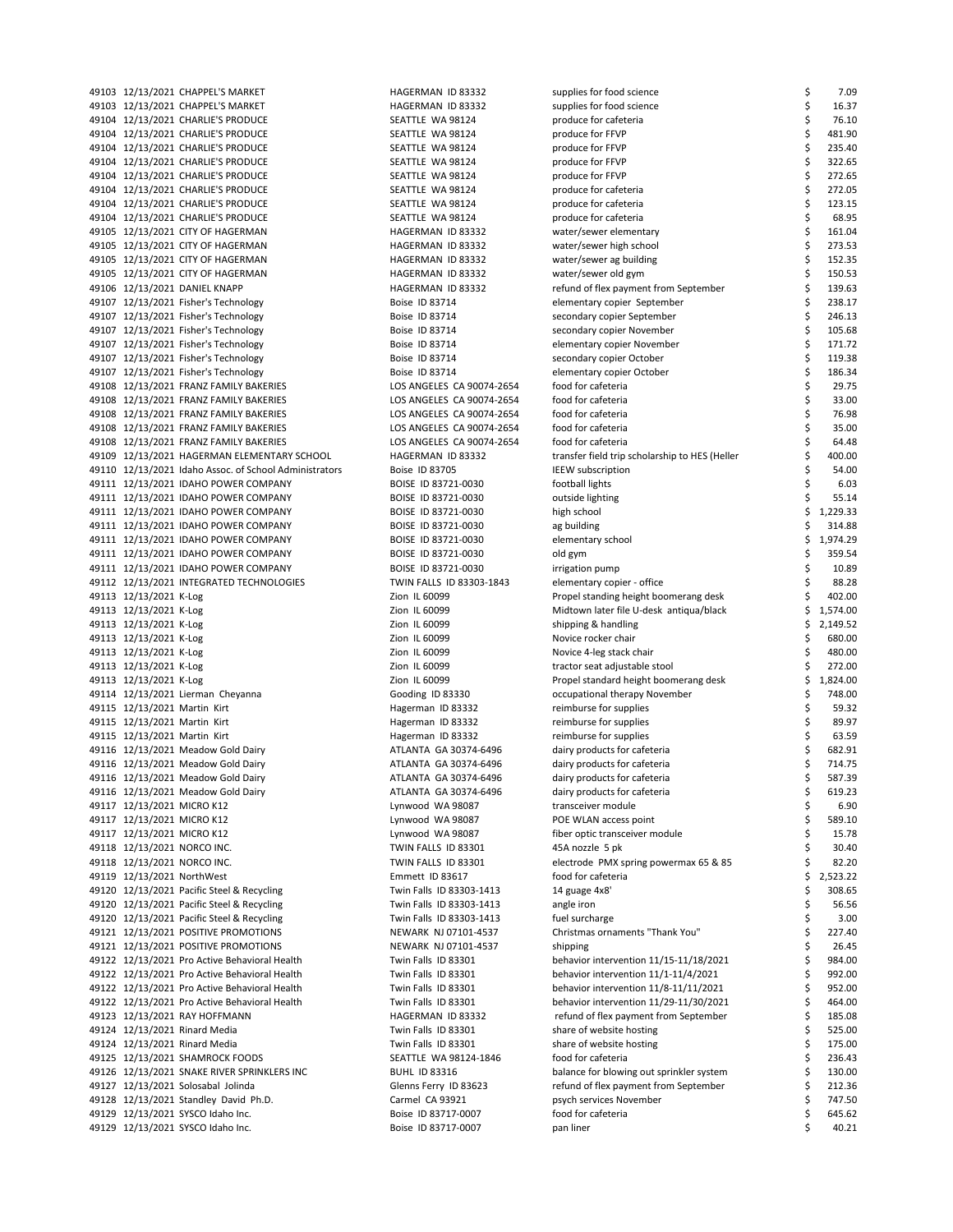49103 12/13/2021 CHAPPEL'S MARKET HAGERMAN ID 83332 49103 12/13/2021 CHAPPEL'S MARKET HAGERMAN ID 83332 49104 12/13/2021 CHARLIE'S PRODUCE SEATTLE WA 98124 49104 12/13/2021 CHARLIE'S PRODUCE SEATTLE WA 98124 49104 12/13/2021 CHARLIE'S PRODUCE SEATTLE WA 98124 49104 12/13/2021 CHARLIF'S PRODUCE **SEATTLE WA 98124** 49104 12/13/2021 CHARLIE'S PRODUCE SEATTLE WA 98124 49104 12/13/2021 CHARLIE'S PRODUCE SEATTLE WA 98124 49104 12/13/2021 CHARLIE'S PRODUCE SEATTLE WA 98124 produce 49104 12/13/2021 CHARLIE'S PRODUCE SEATTLE WA 98124 49105 12/13/2021 CITY OF HAGERMAN **HAGERMAN HAGERMAN ID 83332** 49105 12/13/2021 CITY OF HAGERMAN HAGERMAN HAGERMAN ID 83332 49105 12/13/2021 CITY OF HAGERMAN **HAGERMAN HAGERMAN ID 83332** 49105 12/13/2021 CITY OF HAGERMAN 12 63332 HAGERMAN ID 83332 49106 12/13/2021 DANIEL KNAPP **HAGERMAN ID 83332** r 49107 12/13/2021 Fisher's Technology Boise ID 83714 49107 12/13/2021 Fisher's Technology Boise ID 83714 49107 12/13/2021 Fisher's Technology Boise ID 83714 49107 12/13/2021 Fisher's Technology Boise ID 83714 49107 12/13/2021 Fisher's Technology Boise ID 83714 49107 12/13/2021 Fisher's Technology Boise ID 83714 49108 12/13/2021 FRANZ FAMILY BAKERIES LOS ANGELES CA 90074-2654 for 49108 12/13/2021 FRANZ FAMILY BAKERIES LOS ANGELES CA 90074-2654 for 49108 12/13/2021 FRANZ FAMILY BAKERIES LOS ANGELES CA 90074-2654 49108 12/13/2021 FRANZ FAMILY BAKERIES LOS ANGELES CA 90074-2654 for 49108 12/13/2021 FRANZ FAMILY BAKERIES LOS ANGELES CA 90074-2654 f 49109 12/13/2021 HAGERMAN ELEMENTARY SCHOOL HAGERMAN ID 83332 49110 12/13/2021 Idaho Assoc. of School Administrators Boise ID 83705 49111 12/13/2021 IDAHO POWER COMPANY BOISE ID 83721-0030 49111 12/13/2021 IDAHO POWER COMPANY BOISE ID 83721-0030 49111 12/13/2021 IDAHO POWER COMPANY BOISE ID 83721-0030 49111 12/13/2021 IDAHO POWER COMPANY BOISE ID 83721-0030 49111 12/13/2021 IDAHO POWER COMPANY BOISE ID 83721-0030 49111 12/13/2021 IDAHO POWER COMPANY BOISE ID 83721-0030 49111 12/13/2021 IDAHO POWER COMPANY BOISE ID 83721-0030 in 49112 12/13/2021 INTEGRATED TECHNOLOGIES TWIN FALLS ID 83303-1843 49113 12/13/2021 K-Log Zion IL 60099 49113 12/13/2021 K-Log Zion IL 60099 49113 12/13/2021 K-Log 2ion IL 60099 49113 12/13/2021 K-Log 2001 November 2011 20099 November 2011 16:00099 Nov 49113 12/13/2021 K-Log Zion IL 60099 49113 12/13/2021 K-Log 2001 Consumers 272.000 to 272.000 to 272.000 to 272.000 to 272.000 to 272.000 to 272.00 49113 12/13/2021 K-Log Zion IL 60099 Propel standard height boomerang desk \$ 1,824.00 49114 12/13/2021 Lierman Cheyanna Gooding ID 83330 49115 12/13/2021 Martin Kirt **Hagerman ID 83332** reimburse for supplies for supplies for supplies  $\frac{1}{2}$ 49115 12/13/2021 Martin Kirt **Hagerman ID 83332** 49115 12/13/2021 Martin Kirt **Hagerman ID 83332** reimburse for supplies for supplies for supplies for supplies for 49116 12/13/2021 Meadow Gold Dairy **ATLANTA GA 30374-6496** 49116 12/13/2021 Meadow Gold Dairy **ATLANTA GA 30374-6496** dairy products for care cafety for care cafety for care data a 714.757 dairy products for care cafety for care cafety for care cafety for cafety for cafety for caf 49116 12/13/2021 Meadow Gold Dairy **ATLANTA GA 30374-6496** dairy products for careful a 587.496 49116 12/13/2021 Meadow Gold Dairy **ATLANTA GA 30374-6496** 49117 12/13/2021 MICRO K12 **Lynwood WA 98087** transcene module \$ 6.900 transcene module \$ 6.900 transcene module \$ 6.900 transcene module \$ 6.900 transcene module \$ 6.900 transcene module \$ 6.900 transcene module \$ 6.900 t 49117 12/13/2021 MICRO K12 Lynwood WA 98087 POE WLAN access point \$ 589.10 49117 12/13/2021 MICRO K12 Lynwood WA 98087 f 49118 12/13/2021 NORCO INC. TWIN FALLS ID 83301 49118 12/13/2021 NORCO INC. TWIN FALLS ID 83301 49119 12/13/2021 NorthWest 6 120 for care for care for care for care for care for care for care for care for c 49120 12/13/2021 Pacific Steel & Recycling Twin Falls ID 83303-1413 49120 12/13/2021 Pacific Steel & Recycling Twin Falls ID 83303-1413 49120 12/13/2021 Pacific Steel & Recycling Twin Falls ID 83303-1413 f 49121 12/13/2021 POSITIVE PROMOTIONS NEWARK NJ 07101-4537 Christmas ornaments "Thank You" & 227.400 49121 12/13/2021 POSITIVE PROMOTIONS NEWARK NJ 07101-4537 49122 12/13/2021 Pro Active Behavioral Health Twin Falls ID 83301 behavior intervention 11<br>19122 12/13/2021 Pro Active Behavioral Health Twin Falls ID 83301 49122 12/13/2021 Pro Active Behavioral Health Twin Falls ID 83301 behavior intervention 11 49122 12/13/2021 Pro Active Behavioral Health Twin Falls ID 83301 behavior intervention 11 49122 12/13/2021 Pro Active Behavioral Health Twin Falls ID 83301 b 49123 12/13/2021 RAY HOFFMANN **Example 120 FMAGERMAN ID 83332** 49124 12/13/2021 Rinard Media Twin Falls ID 83301 49124 12/13/2021 Rinard Media **Twin Falls ID 83301** share of website hosting \$ 175.000 share of website hosting \$ 175.000 share of website hosting \$ 175.000 share of website hosting \$ 175.000 share of website hosting \$ 175 49125 12/13/2021 SHAMROCK FOODS SEATTLE WA 98124-1846 for care for care for care for care for care for care for care for care for care for care for care for care for care for care for care for care for care for care for ca 49126 12/13/2021 SNAKE RIVER SPRINKLERS INC BUHL ID 83316 balance for blowing out of blowing out spring out spr 49127 12/13/2021 Solosabal Jolinda Glenns Ferry ID 83623 refund of flex payment from September 2012. 49128 12/13/2021 Standley David Ph.D. Carmel CA 93921 psych services November \$ 747.50 49129 12/13/2021 SYSCO Idaho Inc. Boise ID 83717-0007 for career for career a 645.624.62 49129 12/13/2021 SYSCO Idaho Inc. Boise ID 83717-0007 pand 12/13/2021 SYSCO Idaho Inc.

| upplies for food science                      | \$  | 7.09     |
|-----------------------------------------------|-----|----------|
| supplies for food science                     | \$  | 16.37    |
| produce for cafeteria                         | \$  | 76.10    |
| produce for FFVP                              | \$  | 481.90   |
| produce for FFVP                              | \$  | 235.40   |
| produce for FFVP                              | \$  | 322.65   |
| produce for FFVP                              | \$  | 272.65   |
|                                               | \$  | 272.05   |
| produce for cafeteria                         |     |          |
| produce for cafeteria                         | \$  | 123.15   |
| produce for cafeteria                         | \$  | 68.95    |
| water/sewer elementary                        | \$  | 161.04   |
| water/sewer high school                       | \$  | 273.53   |
| water/sewer ag building                       | \$  | 152.35   |
| water/sewer old gym                           | \$  | 150.53   |
| efund of flex payment from September          | \$  | 139.63   |
| elementary copier September                   | \$  | 238.17   |
| econdary copier September                     | \$  | 246.13   |
| econdary copier November                      | \$  | 105.68   |
| elementary copier November                    | \$  | 171.72   |
| econdary copier October                       | \$  | 119.38   |
| elementary copier October                     | \$  | 186.34   |
| ood for cafeteria                             | \$  | 29.75    |
| ood for cafeteria                             | \$  | 33.00    |
|                                               |     |          |
| ood for cafeteria                             | \$  | 76.98    |
| ood for cafeteria                             | \$  | 35.00    |
| ood for cafeteria                             | \$  | 64.48    |
| ransfer field trip scholarship to HES (Heller | \$  | 400.00   |
| <b>EEW</b> subscription                       | \$  | 54.00    |
| ootball lights                                | \$  | 6.03     |
| outside lighting                              | \$  | 55.14    |
| igh school                                    | \$  | 1,229.33 |
| ag building                                   | \$  | 314.88   |
| elementary school                             | \$  | 1,974.29 |
| old gym                                       | \$  | 359.54   |
| rrigation pump                                | \$  | 10.89    |
|                                               | \$  | 88.28    |
| elementary copier - office                    | \$  |          |
| Propel standing height boomerang desk         |     | 402.00   |
| Midtown later file U-desk antiqua/black       | \$  | 1,574.00 |
| hipping & handling                            | \$  | 2,149.52 |
| <b>Novice rocker chair</b>                    | \$  | 680.00   |
| Novice 4-leg stack chair                      | \$  | 480.00   |
| ractor seat adjustable stool                  | \$  | 272.00   |
| Propel standard height boomerang desk         | \$  | 1,824.00 |
| occupational therapy November                 | \$  | 748.00   |
| eimburse for supplies                         | \$  | 59.32    |
| eimburse for supplies                         | \$  | 89.97    |
| eimburse for supplies                         | \$  | 63.59    |
| dairy products for cafeteria                  | \$  | 682.91   |
| dairy products for cafeteria                  | \$  | 714.75   |
| dairy products for cafeteria                  | \$. | 587.39   |
| dairy products for cafeteria                  | \$  | 619.23   |
| ransceiver module                             | \$  | 6.90     |
|                                               | \$  |          |
| POE WLAN access point                         |     | 589.10   |
| iber optic transceiver module                 | \$  | 15.78    |
| 45A nozzle 5 pk                               | \$  | 30.40    |
| electrode PMX spring powermax 65 & 85         | \$  | 82.20    |
| ood for cafeteria                             | \$  | 2,523.22 |
| 14 guage 4x8'                                 | \$  | 308.65   |
| angle iron                                    | \$  | 56.56    |
| uel surcharge                                 | \$  | 3.00     |
| "Christmas ornaments "Thank You               | \$  | 227.40   |
| shipping                                      | \$  | 26.45    |
| ehavior intervention 11/15-11/18/2021         | \$  | 984.00   |
| ehavior intervention 11/1-11/4/2021           | \$  | 992.00   |
| ehavior intervention 11/8-11/11/2021          | \$  | 952.00   |
| ehavior intervention 11/29-11/30/2021         | \$  | 464.00   |
| refund of flex payment from September         | \$  | 185.08   |
| hare of website hosting                       | \$  | 525.00   |
| hare of website hosting                       | \$  | 175.00   |
|                                               | \$  |          |
| ood for cafeteria                             |     | 236.43   |
| palance for blowing out sprinkler system      | \$  | 130.00   |
| efund of flex payment from September          | \$  | 212.36   |
| osych services November                       | \$  | 747.50   |
| ood for cafeteria                             | \$  | 645.62   |
| an liner                                      | Ś   | 40.21    |
|                                               |     |          |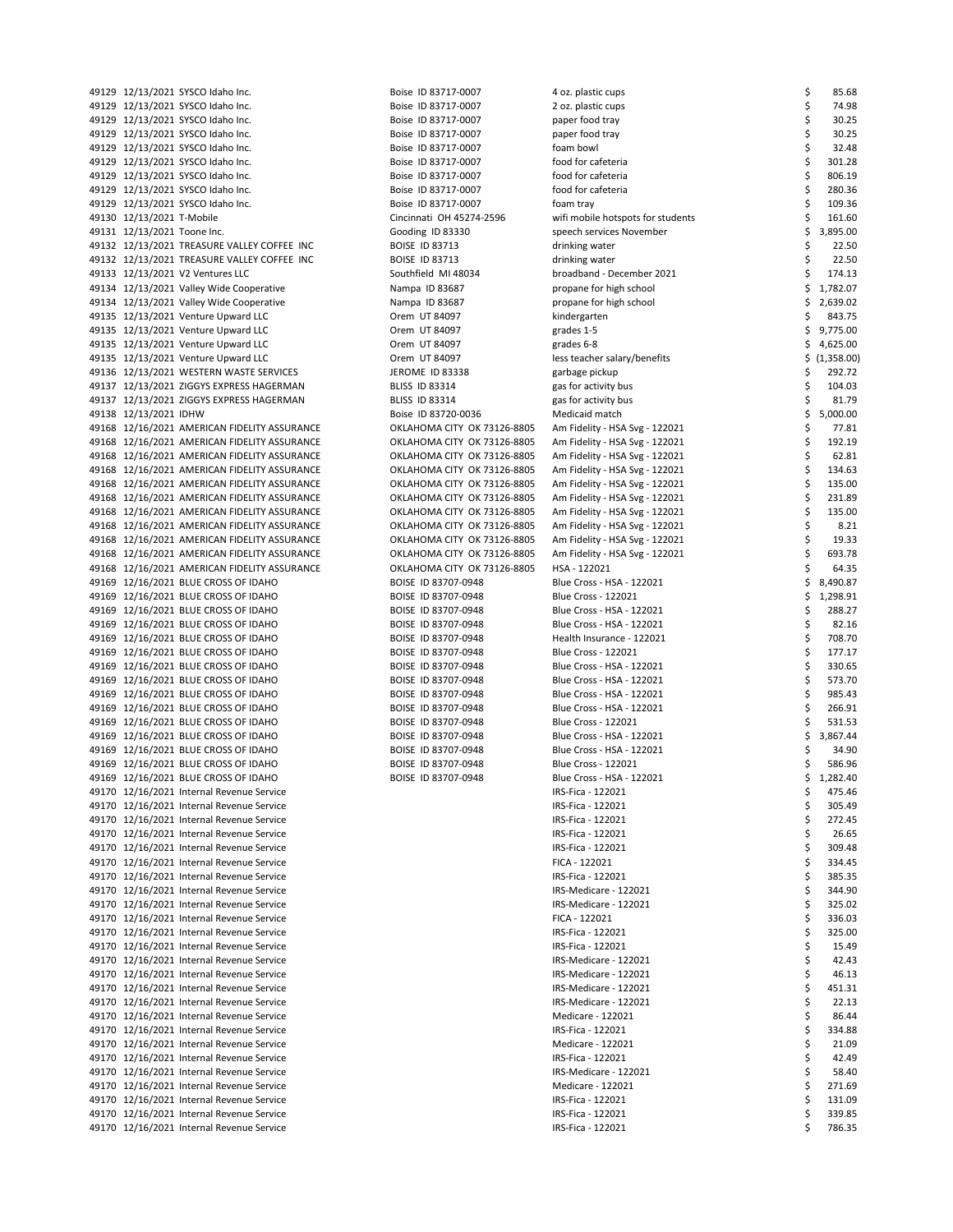|                             | 49129 12/13/2021 SYSCO Idaho Inc.            | Boise ID 83717-0007         | 4 oz. plastic cups                | \$ | 85.68      |
|-----------------------------|----------------------------------------------|-----------------------------|-----------------------------------|----|------------|
|                             | 49129 12/13/2021 SYSCO Idaho Inc.            | Boise ID 83717-0007         | 2 oz. plastic cups                | \$ | 74.98      |
|                             | 49129 12/13/2021 SYSCO Idaho Inc.            | Boise ID 83717-0007         | paper food tray                   | \$ | 30.25      |
|                             |                                              |                             |                                   |    |            |
|                             | 49129 12/13/2021 SYSCO Idaho Inc.            | Boise ID 83717-0007         | paper food tray                   | \$ | 30.25      |
|                             | 49129 12/13/2021 SYSCO Idaho Inc.            | Boise ID 83717-0007         | foam bowl                         | \$ | 32.48      |
|                             | 49129 12/13/2021 SYSCO Idaho Inc.            | Boise ID 83717-0007         | food for cafeteria                | \$ | 301.28     |
|                             | 49129 12/13/2021 SYSCO Idaho Inc.            | Boise ID 83717-0007         | food for cafeteria                | \$ | 806.19     |
|                             |                                              |                             |                                   |    |            |
|                             | 49129 12/13/2021 SYSCO Idaho Inc.            | Boise ID 83717-0007         | food for cafeteria                | \$ | 280.36     |
|                             | 49129 12/13/2021 SYSCO Idaho Inc.            | Boise ID 83717-0007         | foam tray                         | \$ | 109.36     |
| 49130 12/13/2021 T-Mobile   |                                              | Cincinnati OH 45274-2596    | wifi mobile hotspots for students | \$ | 161.60     |
|                             |                                              |                             |                                   |    |            |
| 49131 12/13/2021 Toone Inc. |                                              | Gooding ID 83330            | speech services November          | \$ | 3,895.00   |
|                             | 49132 12/13/2021 TREASURE VALLEY COFFEE INC  | <b>BOISE ID 83713</b>       | drinking water                    | \$ | 22.50      |
|                             | 49132 12/13/2021 TREASURE VALLEY COFFEE INC  | <b>BOISE ID 83713</b>       | drinking water                    | \$ | 22.50      |
|                             | 49133 12/13/2021 V2 Ventures LLC             | Southfield MI 48034         | broadband - December 2021         | \$ | 174.13     |
|                             |                                              |                             |                                   |    |            |
|                             | 49134 12/13/2021 Valley Wide Cooperative     | Nampa ID 83687              | propane for high school           | \$ | 1,782.07   |
|                             | 49134 12/13/2021 Valley Wide Cooperative     | Nampa ID 83687              | propane for high school           | \$ | 2,639.02   |
|                             | 49135 12/13/2021 Venture Upward LLC          | Orem UT 84097               | kindergarten                      |    | 843.75     |
|                             |                                              |                             |                                   |    |            |
|                             | 49135 12/13/2021 Venture Upward LLC          | Orem UT 84097               | grades 1-5                        | \$ | 9,775.00   |
|                             | 49135 12/13/2021 Venture Upward LLC          | Orem UT 84097               | grades 6-8                        | S  | 4,625.00   |
|                             | 49135 12/13/2021 Venture Upward LLC          | Orem UT 84097               | less teacher salary/benefits      | Ş. | (1,358.00) |
|                             |                                              |                             |                                   |    |            |
|                             | 49136 12/13/2021 WESTERN WASTE SERVICES      | JEROME ID 83338             | garbage pickup                    | Ş  | 292.72     |
|                             | 49137 12/13/2021 ZIGGYS EXPRESS HAGERMAN     | <b>BLISS ID 83314</b>       | gas for activity bus              | \$ | 104.03     |
|                             | 49137 12/13/2021 ZIGGYS EXPRESS HAGERMAN     | <b>BLISS ID 83314</b>       | gas for activity bus              | \$ | 81.79      |
| 49138 12/13/2021 IDHW       |                                              | Boise ID 83720-0036         | Medicaid match                    | \$ | 5,000.00   |
|                             |                                              |                             |                                   |    |            |
|                             | 49168 12/16/2021 AMERICAN FIDELITY ASSURANCE | OKLAHOMA CITY OK 73126-8805 | Am Fidelity - HSA Svg - 122021    | \$ | 77.81      |
|                             | 49168 12/16/2021 AMERICAN FIDELITY ASSURANCE | OKLAHOMA CITY OK 73126-8805 | Am Fidelity - HSA Svg - 122021    | \$ | 192.19     |
|                             | 49168 12/16/2021 AMERICAN FIDELITY ASSURANCE | OKLAHOMA CITY OK 73126-8805 | Am Fidelity - HSA Svg - 122021    | \$ | 62.81      |
|                             |                                              |                             |                                   |    |            |
|                             | 49168 12/16/2021 AMERICAN FIDELITY ASSURANCE | OKLAHOMA CITY OK 73126-8805 | Am Fidelity - HSA Svg - 122021    | \$ | 134.63     |
|                             | 49168 12/16/2021 AMERICAN FIDELITY ASSURANCE | OKLAHOMA CITY OK 73126-8805 | Am Fidelity - HSA Svg - 122021    | \$ | 135.00     |
|                             | 49168 12/16/2021 AMERICAN FIDELITY ASSURANCE | OKLAHOMA CITY OK 73126-8805 | Am Fidelity - HSA Svg - 122021    | \$ | 231.89     |
|                             |                                              |                             |                                   |    |            |
|                             | 49168 12/16/2021 AMERICAN FIDELITY ASSURANCE | OKLAHOMA CITY OK 73126-8805 | Am Fidelity - HSA Svg - 122021    | \$ | 135.00     |
|                             | 49168 12/16/2021 AMERICAN FIDELITY ASSURANCE | OKLAHOMA CITY OK 73126-8805 | Am Fidelity - HSA Svg - 122021    | \$ | 8.21       |
|                             | 49168 12/16/2021 AMERICAN FIDELITY ASSURANCE | OKLAHOMA CITY OK 73126-8805 | Am Fidelity - HSA Svg - 122021    | \$ | 19.33      |
|                             | 49168 12/16/2021 AMERICAN FIDELITY ASSURANCE | OKLAHOMA CITY OK 73126-8805 |                                   | \$ | 693.78     |
|                             |                                              |                             | Am Fidelity - HSA Svg - 122021    |    |            |
|                             | 49168 12/16/2021 AMERICAN FIDELITY ASSURANCE | OKLAHOMA CITY OK 73126-8805 | HSA - 122021                      |    | 64.35      |
|                             | 49169 12/16/2021 BLUE CROSS OF IDAHO         | BOISE ID 83707-0948         | Blue Cross - HSA - 122021         | \$ | 8,490.87   |
|                             | 49169 12/16/2021 BLUE CROSS OF IDAHO         | BOISE ID 83707-0948         | <b>Blue Cross - 122021</b>        | \$ | 1,298.91   |
|                             |                                              |                             |                                   |    |            |
|                             | 49169 12/16/2021 BLUE CROSS OF IDAHO         | BOISE ID 83707-0948         | Blue Cross - HSA - 122021         | \$ | 288.27     |
|                             | 49169 12/16/2021 BLUE CROSS OF IDAHO         | BOISE ID 83707-0948         | Blue Cross - HSA - 122021         | \$ | 82.16      |
|                             | 49169 12/16/2021 BLUE CROSS OF IDAHO         | BOISE ID 83707-0948         | Health Insurance - 122021         | \$ | 708.70     |
|                             |                                              |                             | <b>Blue Cross - 122021</b>        | \$ | 177.17     |
|                             | 49169 12/16/2021 BLUE CROSS OF IDAHO         | BOISE ID 83707-0948         |                                   |    |            |
|                             | 49169 12/16/2021 BLUE CROSS OF IDAHO         | BOISE ID 83707-0948         | Blue Cross - HSA - 122021         | \$ | 330.65     |
|                             | 49169 12/16/2021 BLUE CROSS OF IDAHO         | BOISE ID 83707-0948         | Blue Cross - HSA - 122021         | \$ | 573.70     |
|                             | 49169 12/16/2021 BLUE CROSS OF IDAHO         | BOISE ID 83707-0948         | Blue Cross - HSA - 122021         | \$ | 985.43     |
|                             |                                              |                             |                                   |    |            |
|                             | 49169 12/16/2021 BLUE CROSS OF IDAHO         | BOISE ID 83707-0948         | Blue Cross - HSA - 122021         | \$ | 266.91     |
|                             | 49169 12/16/2021 BLUE CROSS OF IDAHO         | BOISE ID 83707-0948         | Blue Cross - 122021               | \$ | 531.53     |
|                             | 49169 12/16/2021 BLUE CROSS OF IDAHO         | BOISE ID 83707-0948         | Blue Cross - HSA - 122021         | \$ | 3,867.44   |
|                             |                                              |                             |                                   | \$ | 34.90      |
|                             | 49169 12/16/2021 BLUE CROSS OF IDAHO         | BOISE ID 83707-0948         | Blue Cross - HSA - 122021         |    |            |
|                             | 49169 12/16/2021 BLUE CROSS OF IDAHO         | BOISE ID 83707-0948         | <b>Blue Cross - 122021</b>        |    | 586.96     |
|                             | 49169 12/16/2021 BLUE CROSS OF IDAHO         | BOISE ID 83707-0948         | Blue Cross - HSA - 122021         | \$ | 1,282.40   |
|                             | 49170 12/16/2021 Internal Revenue Service    |                             | IRS-Fica - 122021                 | Ş  | 475.46     |
|                             |                                              |                             |                                   |    |            |
|                             | 49170 12/16/2021 Internal Revenue Service    |                             | IRS-Fica - 122021                 | \$ | 305.49     |
|                             | 49170 12/16/2021 Internal Revenue Service    |                             | IRS-Fica - 122021                 |    | 272.45     |
|                             | 49170 12/16/2021 Internal Revenue Service    |                             | IRS-Fica - 122021                 | \$ | 26.65      |
|                             | 49170 12/16/2021 Internal Revenue Service    |                             | IRS-Fica - 122021                 | Ş  | 309.48     |
|                             |                                              |                             |                                   |    |            |
|                             | 49170 12/16/2021 Internal Revenue Service    |                             | FICA - 122021                     | \$ | 334.45     |
|                             | 49170 12/16/2021 Internal Revenue Service    |                             | IRS-Fica - 122021                 | Ş  | 385.35     |
|                             | 49170 12/16/2021 Internal Revenue Service    |                             | IRS-Medicare - 122021             | \$ | 344.90     |
|                             |                                              |                             |                                   |    |            |
|                             | 49170 12/16/2021 Internal Revenue Service    |                             | IRS-Medicare - 122021             | Ş  | 325.02     |
|                             | 49170 12/16/2021 Internal Revenue Service    |                             | FICA - 122021                     | \$ | 336.03     |
|                             | 49170 12/16/2021 Internal Revenue Service    |                             | IRS-Fica - 122021                 | Ş  | 325.00     |
|                             |                                              |                             | IRS-Fica - 122021                 |    |            |
|                             | 49170 12/16/2021 Internal Revenue Service    |                             |                                   | \$ | 15.49      |
|                             | 49170 12/16/2021 Internal Revenue Service    |                             | IRS-Medicare - 122021             |    | 42.43      |
|                             | 49170 12/16/2021 Internal Revenue Service    |                             | IRS-Medicare - 122021             | \$ | 46.13      |
|                             | 49170 12/16/2021 Internal Revenue Service    |                             | IRS-Medicare - 122021             |    | 451.31     |
|                             |                                              |                             |                                   |    |            |
|                             | 49170 12/16/2021 Internal Revenue Service    |                             | IRS-Medicare - 122021             | \$ | 22.13      |
|                             | 49170 12/16/2021 Internal Revenue Service    |                             | Medicare - 122021                 |    | 86.44      |
|                             | 49170 12/16/2021 Internal Revenue Service    |                             | IRS-Fica - 122021                 | \$ | 334.88     |
|                             |                                              |                             |                                   |    |            |
|                             | 49170 12/16/2021 Internal Revenue Service    |                             | Medicare - 122021                 |    | 21.09      |
|                             | 49170 12/16/2021 Internal Revenue Service    |                             | IRS-Fica - 122021                 |    | 42.49      |
|                             | 49170 12/16/2021 Internal Revenue Service    |                             | IRS-Medicare - 122021             |    | 58.40      |
|                             | 49170 12/16/2021 Internal Revenue Service    |                             | Medicare - 122021                 |    | 271.69     |
|                             |                                              |                             |                                   |    |            |
|                             | 49170 12/16/2021 Internal Revenue Service    |                             | IRS-Fica - 122021                 |    | 131.09     |
|                             | 49170 12/16/2021 Internal Revenue Service    |                             | IRS-Fica - 122021                 | \$ | 339.85     |
|                             | 49170 12/16/2021 Internal Revenue Service    |                             | IRS-Fica - 122021                 | \$ | 786.35     |